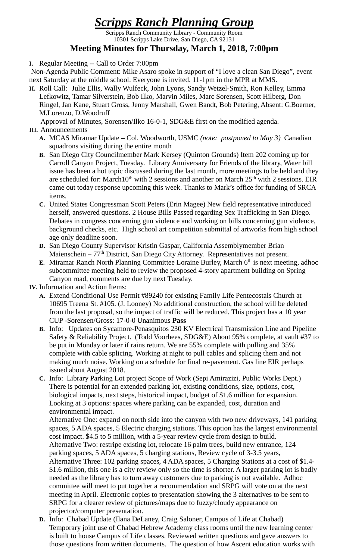## *Scripps Ranch Planning Group*

Scripps Ranch Community Library - Community Room 10301 Scripps Lake Drive, San Diego, CA 92131

## **Meeting Minutes for Thursday, March 1, 2018, 7:00pm**

**I.** Regular Meeting -- Call to Order 7:00pm

Non-Agenda Public Comment: Mike Asaro spoke in support of "I love a clean San Diego", event next Saturday at the middle school. Everyone is invited. 11-1pm in the MPR at MMS.

**II.** Roll Call: Julie Ellis, Wally Wulfeck, John Lyons, Sandy Wetzel-Smith, Ron Kelley, Emma Lefkowitz, Tamar Silverstein, Bob Ilko, Marvin Miles, Marc Sorensen, Scott Hilberg, Don Ringel, Jan Kane, Stuart Gross, Jenny Marshall, Gwen Bandt, Bob Petering, Absent: G.Boerner, M.Lorenzo, D.Woodruff

Approval of Minutes, Sorensen/Ilko 16-0-1, SDG&E first on the modified agenda. **III.** Announcements

- **A.** MCAS Miramar Update Col. Woodworth, USMC *(note: postponed to May 3)* Canadian squadrons visiting during the entire month
- **B.** San Diego City Councilmember Mark Kersey (Quinton Grounds) Item 202 coming up for Carroll Canyon Project, Tuesday. Library Anniversary for Friends of the library, Water bill issue has been a hot topic discussed during the last month, more meetings to be held and they are scheduled for: March10<sup>th</sup> with 2 sessions and another on March  $25<sup>th</sup>$  with 2 sessions. EIR came out today response upcoming this week. Thanks to Mark's office for funding of SRCA items.
- **C.** United States Congressman Scott Peters (Erin Magee) New field representative introduced herself, answered questions. 2 House Bills Passed regarding Sex Trafficking in San Diego. Debates in congress concerning gun violence and working on bills concerning gun violence, background checks, etc. High school art competition submittal of artworks from high school age only deadline soon.
- **D.** San Diego County Supervisor Kristin Gaspar, California Assemblymember Brian Maienschein – 77<sup>th</sup> District, San Diego City Attorney. Representatives not present.
- **E.** Miramar Ranch North Planning Committee Loraine Burley, March 6<sup>th</sup> is next meeting, adhoc subcommittee meeting held to review the proposed 4-story apartment building on Spring Canyon road, comments are due by next Tuesday.
- **IV.** Information and Action Items:
	- **A.** Extend Conditional Use Permit #89240 for existing Family Life Pentecostals Church at 10695 Treena St. #105. (J. Looney) No additional construction, the school will be deleted from the last proposal, so the impact of traffic will be reduced. This project has a 10 year CUP -Sorensen/Gross: 17-0-0 Unanimous **Pass**
	- **B.** Info: Updates on Sycamore-Penasquitos 230 KV Electrical Transmission Line and Pipeline Safety & Reliability Project. (Todd Voorhees, SDG&E) About 95% complete, at vault #37 to be put in Monday or later if rains return. We are 55% complete with pulling and 35% complete with cable splicing. Working at night to pull cables and splicing them and not making much noise. Working on a schedule for final re-pavement. Gas line EIR perhaps issued about August 2018.
	- **C.** Info: Library Parking Lot project Scope of Work (Sepi Amirazizi, Public Works Dept.) There is potential for an extended parking lot, existing conditions, size, options, cost, biological impacts, next steps, historical impact, budget of \$1.6 million for expansion. Looking at 3 options: spaces where parking can be expanded, cost, duration and environmental impact.

Alternative One: expand on north side into the canyon with two new driveways, 141 parking spaces, 5 ADA spaces, 5 Electric charging stations. This option has the largest environmental cost impact. \$4.5 to 5 million, with a 5-year review cycle from design to build. Alternative Two: restripe existing lot, relocate 16 palm trees, build new entrance, 124 parking spaces, 5 ADA spaces, 5 charging stations, Review cycle of 3-3.5 years, Alternative Three: 102 parking spaces, 4 ADA spaces, 5 Charging Stations at a cost of \$1.4- \$1.6 million, this one is a city review only so the time is shorter. A larger parking lot is badly needed as the library has to turn away customers due to parking is not available. Adhoc committee will meet to put together a recommendation and SRPG will vote on at the next meeting in April. Electronic copies to presentation showing the 3 alternatives to be sent to SRPG for a clearer review of pictures/maps due to fuzzy/cloudy appearance on projector/computer presentation.

**D.** Info: Chabad Update (Ilana DeLaney, Craig Saloner, Campus of Life at Chabad) Temporary joint use of Chabad Hebrew Academy class rooms until the new learning center is built to house Campus of Life classes. Reviewed written questions and gave answers to those questions from written documents. The question of how Ascent education works with